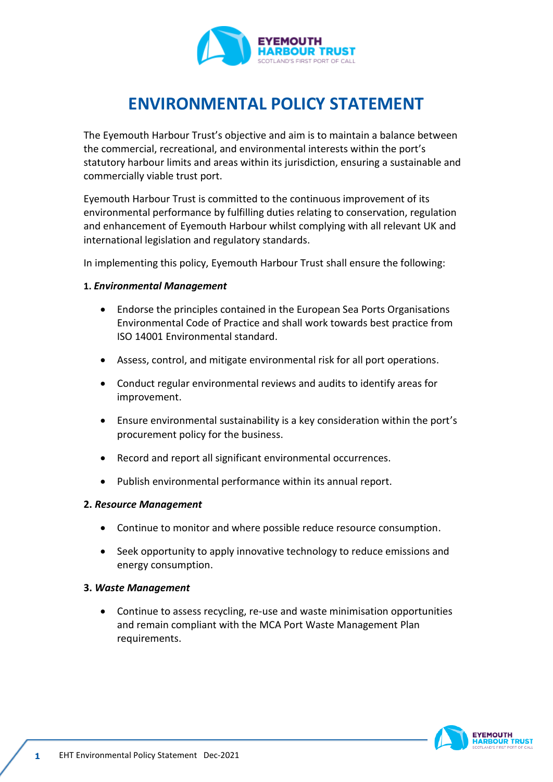

# **ENVIRONMENTAL POLICY STATEMENT**

The Eyemouth Harbour Trust's objective and aim is to maintain a balance between the commercial, recreational, and environmental interests within the port's statutory harbour limits and areas within its jurisdiction, ensuring a sustainable and commercially viable trust port.

Eyemouth Harbour Trust is committed to the continuous improvement of its environmental performance by fulfilling duties relating to conservation, regulation and enhancement of Eyemouth Harbour whilst complying with all relevant UK and international legislation and regulatory standards.

In implementing this policy, Eyemouth Harbour Trust shall ensure the following:

### **1.** *Environmental Management*

- Endorse the principles contained in the European Sea Ports Organisations Environmental Code of Practice and shall work towards best practice from ISO 14001 Environmental standard.
- Assess, control, and mitigate environmental risk for all port operations.
- Conduct regular environmental reviews and audits to identify areas for improvement.
- Ensure environmental sustainability is a key consideration within the port's procurement policy for the business.
- Record and report all significant environmental occurrences.
- Publish environmental performance within its annual report.

#### **2.** *Resource Management*

- Continue to monitor and where possible reduce resource consumption.
- Seek opportunity to apply innovative technology to reduce emissions and energy consumption.

#### **3.** *Waste Management*

• Continue to assess recycling, re-use and waste minimisation opportunities and remain compliant with the MCA Port Waste Management Plan requirements.